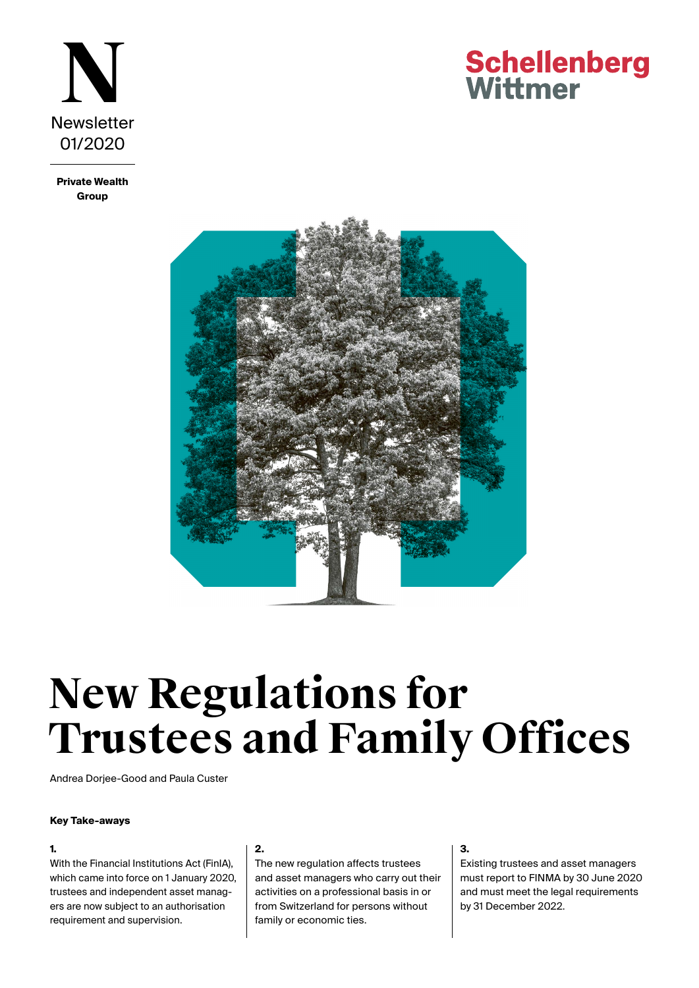

**Private Wealth Group**

## **Schellenberg** Wittmer



# **New Regulations for Trustees and Family Offices**

Andrea Dorjee-Good and Paula Custer

#### **Key Take-aways**

#### **1.**

With the Financial Institutions Act (FinIA), which came into force on 1 January 2020, trustees and independent asset managers are now subject to an authorisation requirement and supervision.

#### **2.**

The new regulation affects trustees and asset managers who carry out their activities on a professional basis in or from Switzerland for persons without family or economic ties.

#### **3.**

Existing trustees and asset managers must report to FINMA by 30 June 2020 and must meet the legal requirements by 31 December 2022.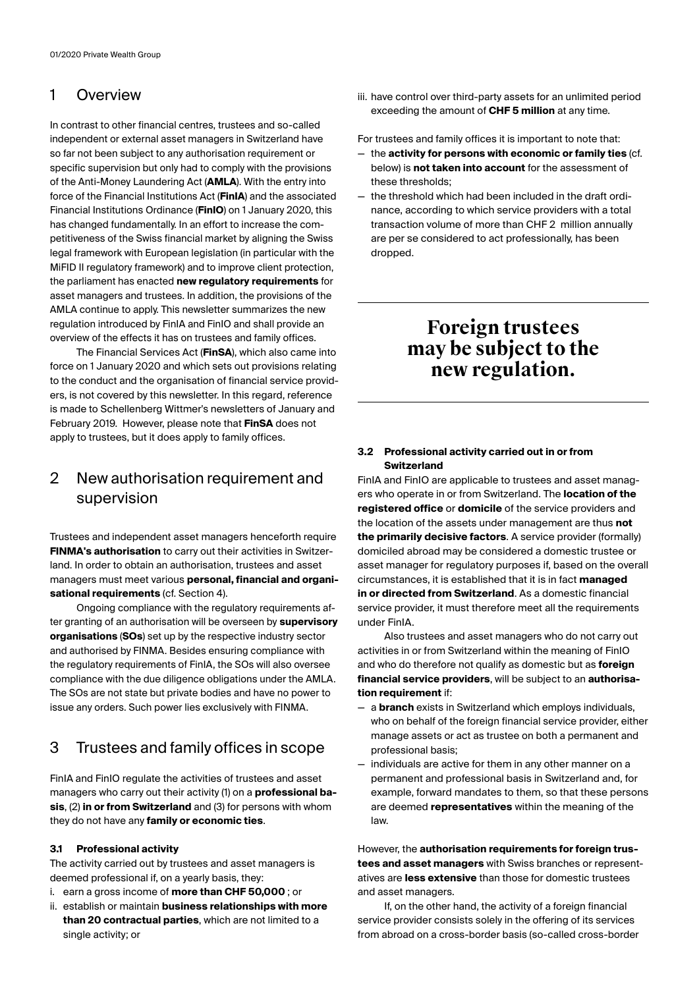## 1 Overview

In contrast to other financial centres, trustees and so-called independent or external asset managers in Switzerland have so far not been subject to any authorisation requirement or specific supervision but only had to comply with the provisions of the Anti-Money Laundering Act (**AMLA**). With the entry into force of the Financial Institutions Act (**FinIA**) and the associated Financial Institutions Ordinance (**FinIO**) on 1 January 2020, this has changed fundamentally. In an effort to increase the competitiveness of the Swiss financial market by aligning the Swiss legal framework with European legislation (in particular with the MiFID II regulatory framework) and to improve client protection, the parliament has enacted **new regulatory requirements** for asset managers and trustees. In addition, the provisions of the AMLA continue to apply. This newsletter summarizes the new regulation introduced by FinIA and FinIO and shall provide an overview of the effects it has on trustees and family offices.

The Financial Services Act (**FinSA**), which also came into force on 1 January 2020 and which sets out provisions relating to the conduct and the organisation of financial service providers, is not covered by this newsletter. In this regard, reference is made to Schellenberg Wittmer's newsletters of January and February 2019. However, please note that **FinSA** does not apply to trustees, but it does apply to family offices.

## 2 New authorisation requirement and supervision

Trustees and independent asset managers henceforth require **FINMA's authorisation** to carry out their activities in Switzerland. In order to obtain an authorisation, trustees and asset managers must meet various **personal, financial and organisational requirements** (cf. Section 4).

Ongoing compliance with the regulatory requirements after granting of an authorisation will be overseen by **supervisory organisations** (**SOs**) set up by the respective industry sector and authorised by FINMA. Besides ensuring compliance with the regulatory requirements of FinIA, the SOs will also oversee compliance with the due diligence obligations under the AMLA. The SOs are not state but private bodies and have no power to issue any orders. Such power lies exclusively with FINMA.

## 3 Trustees and family offices in scope

FinIA and FinIO regulate the activities of trustees and asset managers who carry out their activity (1) on a **professional basis**, (2) **in or from Switzerland** and (3) for persons with whom they do not have any **family or economic ties**.

#### **3.1 Professional activity**

The activity carried out by trustees and asset managers is deemed professional if, on a yearly basis, they:

- i. earn a gross income of **more than CHF 50,000** ; or
- ii. establish or maintain **business relationships with more than 20 contractual parties**, which are not limited to a single activity; or

iii. have control over third-party assets for an unlimited period exceeding the amount of **CHF 5 million** at any time.

For trustees and family offices it is important to note that:

- the **activity for persons with economic or family ties** (cf. below) is **not taken into account** for the assessment of these thresholds;
- the threshold which had been included in the draft ordinance, according to which service providers with a total transaction volume of more than CHF 2 million annually are per se considered to act professionally, has been dropped.

## **Foreign trustees may be subject to the new regulation.**

#### **3.2 Professional activity carried out in or from Switzerland**

FinIA and FinIO are applicable to trustees and asset managers who operate in or from Switzerland. The **location of the registered office** or **domicile** of the service providers and the location of the assets under management are thus **not the primarily decisive factors**. A service provider (formally) domiciled abroad may be considered a domestic trustee or asset manager for regulatory purposes if, based on the overall circumstances, it is established that it is in fact **managed in or directed from Switzerland**. As a domestic financial service provider, it must therefore meet all the requirements under FinIA.

Also trustees and asset managers who do not carry out activities in or from Switzerland within the meaning of FinIO and who do therefore not qualify as domestic but as **foreign financial service providers**, will be subject to an **authorisation requirement** if:

- a **branch** exists in Switzerland which employs individuals, who on behalf of the foreign financial service provider, either manage assets or act as trustee on both a permanent and professional basis;
- individuals are active for them in any other manner on a permanent and professional basis in Switzerland and, for example, forward mandates to them, so that these persons are deemed **representatives** within the meaning of the law.

However, the **authorisation requirements for foreign trustees and asset managers** with Swiss branches or representatives are **less extensive** than those for domestic trustees and asset managers.

If, on the other hand, the activity of a foreign financial service provider consists solely in the offering of its services from abroad on a cross-border basis (so-called cross-border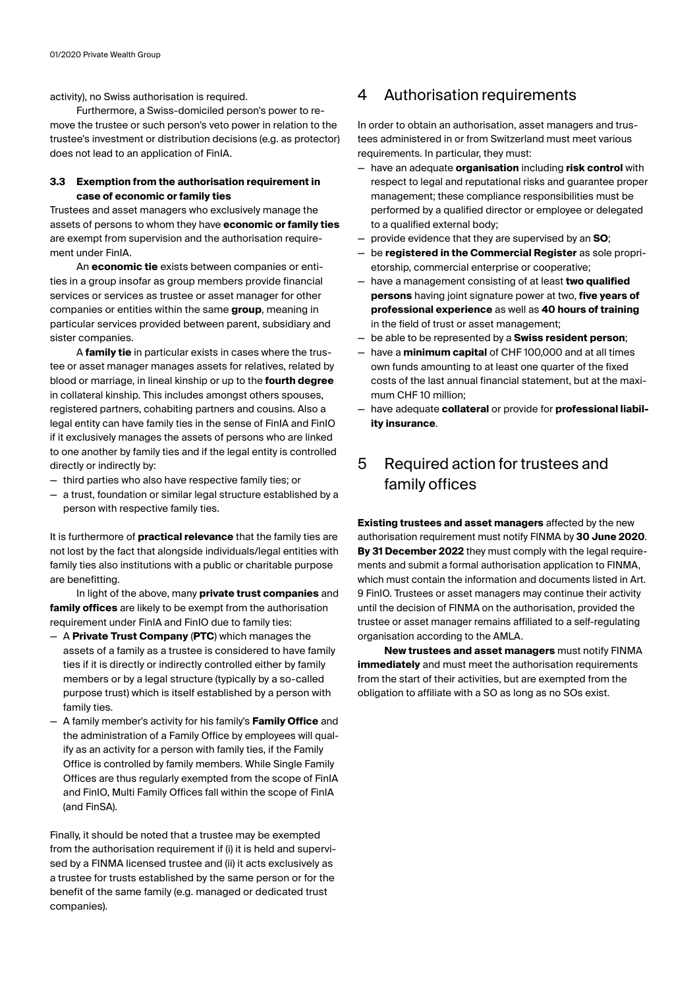activity), no Swiss authorisation is required.

Furthermore, a Swiss-domiciled person's power to remove the trustee or such person's veto power in relation to the trustee's investment or distribution decisions (e.g. as protector) does not lead to an application of FinIA.

#### **3.3 Exemption from the authorisation requirement in case of economic or family ties**

Trustees and asset managers who exclusively manage the assets of persons to whom they have **economic or family ties** are exempt from supervision and the authorisation requirement under FinIA.

An **economic tie** exists between companies or entities in a group insofar as group members provide financial services or services as trustee or asset manager for other companies or entities within the same **group**, meaning in particular services provided between parent, subsidiary and sister companies.

A **family tie** in particular exists in cases where the trustee or asset manager manages assets for relatives, related by blood or marriage, in lineal kinship or up to the **fourth degree** in collateral kinship. This includes amongst others spouses, registered partners, cohabiting partners and cousins. Also a legal entity can have family ties in the sense of FinIA and FinIO if it exclusively manages the assets of persons who are linked to one another by family ties and if the legal entity is controlled directly or indirectly by:

- third parties who also have respective family ties; or
- a trust, foundation or similar legal structure established by a person with respective family ties.

It is furthermore of **practical relevance** that the family ties are not lost by the fact that alongside individuals/legal entities with family ties also institutions with a public or charitable purpose are benefitting.

In light of the above, many **private trust companies** and **family offices** are likely to be exempt from the authorisation requirement under FinIA and FinIO due to family ties:

- A **Private Trust Company** (**PTC**) which manages the assets of a family as a trustee is considered to have family ties if it is directly or indirectly controlled either by family members or by a legal structure (typically by a so-called purpose trust) which is itself established by a person with family ties.
- A family member's activity for his family's **Family Office** and the administration of a Family Office by employees will qualify as an activity for a person with family ties, if the Family Office is controlled by family members. While Single Family Offices are thus regularly exempted from the scope of FinIA and FinIO, Multi Family Offices fall within the scope of FinIA (and FinSA).

Finally, it should be noted that a trustee may be exempted from the authorisation requirement if (i) it is held and supervised by a FINMA licensed trustee and (ii) it acts exclusively as a trustee for trusts established by the same person or for the benefit of the same family (e.g. managed or dedicated trust companies).

### 4 Authorisation requirements

In order to obtain an authorisation, asset managers and trustees administered in or from Switzerland must meet various requirements. In particular, they must:

- have an adequate **organisation** including **risk control** with respect to legal and reputational risks and guarantee proper management; these compliance responsibilities must be performed by a qualified director or employee or delegated to a qualified external body;
- provide evidence that they are supervised by an **SO**;
- be **registered in the Commercial Register** as sole proprietorship, commercial enterprise or cooperative;
- have a management consisting of at least **two qualified persons** having joint signature power at two, **five years of professional experience** as well as **40 hours of training** in the field of trust or asset management;
- be able to be represented by a **Swiss resident person**;
- have a **minimum capital** of CHF 100,000 and at all times own funds amounting to at least one quarter of the fixed costs of the last annual financial statement, but at the maximum CHF 10 million;
- have adequate **collateral** or provide for **professional liability insurance**.

## 5 Required action for trustees and family offices

**Existing trustees and asset managers** affected by the new authorisation requirement must notify FINMA by **30 June 2020**. **By 31 December 2022** they must comply with the legal requirements and submit a formal authorisation application to FINMA, which must contain the information and documents listed in Art. 9 FinIO. Trustees or asset managers may continue their activity until the decision of FINMA on the authorisation, provided the trustee or asset manager remains affiliated to a self-regulating organisation according to the AMLA.

**New trustees and asset managers** must notify FINMA **immediately** and must meet the authorisation requirements from the start of their activities, but are exempted from the obligation to affiliate with a SO as long as no SOs exist.